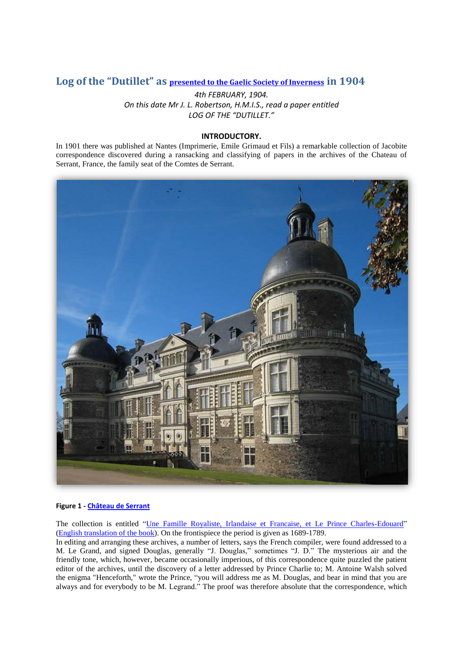# **Log of the "Dutillet" as [presented to the Gaelic Society of Inverness](http://www.archive.org/details/transactions26gaeluoft) in 1904**

*4th FEBRUARY, 1904. On this date Mr J. L. Robertson, H.M.I.S., read a paper entitled LOG OF THE "DUTILLET."*

### **INTRODUCTORY.**

In 1901 there was published at Nantes (Imprimerie, Emile Grimaud et Fils) a remarkable collection of Jacobite correspondence discovered during a ransacking and classifying of papers in the archives of the Chateau of Serrant, France, the family seat of the Comtes de Serrant.



### **Figure 1 - [Château de Serrant](http://en.wikipedia.org/wiki/Ch%C3%A2teau_de_Serrant)**

The collection is entitled ["Une Famille Royaliste, Irlandaise et Francaise, et](http://books.google.com/books?id=XFcTAAAAQAAJ&pg=PA7&dq=Une+Famille+Royaliste,+Irlandaise+et+Francaise&ei=zekPSoLtGonuMsaU6MIJ) Le Prince Charles-Edouard" [\(English translation of the book\)](http://books.google.com/books?id=dRcMAAAAYAAJ&pg=PA1&dq=royalist+family+irish+french&ei=w-oPSo3YB4jINc3jsaYP). On the frontispiece the period is given as 1689-1789.

In editing and arranging these archives, a number of letters, says the French compiler, were found addressed to a M. Le Grand, and signed Douglas, generally "J. Douglas," sometimes "J. D." The mysterious air and the friendly tone, which, however, became occasionally imperious, of this correspondence quite puzzled the patient editor of the archives, until the discovery of a letter addressed by Prince Charlie to; M. Antoine Walsh solved the enigma "Henceforth," wrote the Prince, "you will address me as M. Douglas, and bear in mind that you are always and for everybody to be M. Legrand." The proof was therefore absolute that the correspondence, which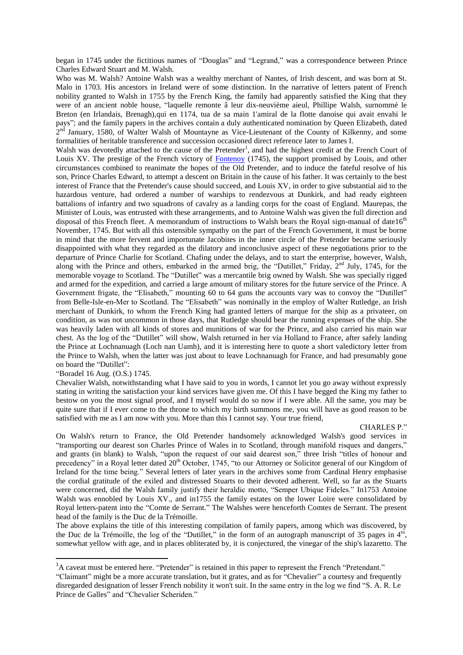began in 1745 under the fictitious names of "Douglas" and "Legrand," was a correspondence between Prince Charles Edward Stuart and M. Walsh.

Who was M. Walsh? Antoine Walsh was a wealthy merchant of Nantes, of Irish descent, and was born at St. Malo in 1703. His ancestors in Ireland were of some distinction. In the narrative of letters patent of French nobility granted to Walsh in 1755 by the French King, the family had apparently satisfied the King that they were of an ancient noble house, "laquelle remonte â leur dix-neuvième aieul, Phillipe Walsh, surnommé le Breton (en Irlandais, Brenagh),qui en 1174, tua de sa main 1'amiral de la flotte danoise qui avait envahi le pays"; and the family papers in the archives contain a duly authenticated nomination by Queen Elizabeth, dated 2<sup>nd</sup> January, 1580, of Walter Walsh of Mountayne as Vice-Lieutenant of the County of Kilkenny, and some formalities of heritable transference and succession occasioned direct reference later to James I.

Walsh was devotedly attached to the cause of the Pretender<sup>1</sup>, and had the highest credit at the French Court of Louis XV. The prestige of the French victory of [Fontenoy](http://books.google.com/books?id=YEVDAAAAIAAJ&pg=PA12&dq=Fontenoy+(1745)&as_brr=1&ei=IewPSp2UCo30MpKzxcoO) (1745), the support promised by Louis, and other circumstances combined to reanimate the hopes of the Old Pretender, and to induce the fateful resolve of his son, Prince Charles Edward, to attempt a descent on Britain in the cause of his father. It was certainly to the best interest of France that the Pretender's cause should succeed, and Louis XV, in order to give substantial aid to the hazardous venture, had ordered a number of warships to rendezvous at Dunkirk, and had ready eighteen battalions of infantry and two squadrons of cavalry as a landing corps for the coast of England. Maurepas, the Minister of Louis, was entrusted with these arrangements, and to Antoine Walsh was given the full direction and disposal of this French fleet. A memorandum of instructions to Walsh bears the Royal sign-manual of date16<sup>th</sup> November, 1745. But with all this ostensible sympathy on the part of the French Government, it must be borne in mind that the more fervent and importunate Jacobites in the inner circle of the Pretender became seriously disappointed with what they regarded as the dilatory and inconclusive aspect of these negotiations prior to the departure of Prince Charlie for Scotland. Chafing under the delays, and to start the enterprise, however, Walsh, along with the Prince and others, embarked in the armed brig, the "Dutillet," Friday,  $2<sup>nd</sup>$  July, 1745, for the memorable voyage to Scotland. The "Dutillet" was a mercantile brig owned by Walsh. She was specially rigged and armed for the expedition, and carried a large amount of military stores for the future service of the Prince. A Government frigate, the "Elisabeth," mounting 60 to 64 guns the accounts vary was to convoy the "Dutillet" from Belle-Isle-en-Mer to Scotland. The "Elisabeth" was nominally in the employ of Walter Rutledge, an Irish merchant of Dunkirk, to whom the French King had granted letters of marque for the ship as a privateer, on condition, as was not uncommon in those days, that Rutledge should bear the running expenses of the ship. She was heavily laden with all kinds of stores and munitions of war for the Prince, and also carried his main war chest. As the log of the "Dutillet" will show, Walsh returned in her via Holland to France, after safely landing the Prince at Lochnanuagh (Loch nan Uamh), and it is interesting here to quote a short valedictory letter from the Prince to Walsh, when the latter was just about to leave Lochnanuagh for France, and had presumably gone on board the "Dutillet":

### "Boradel 16 Aug. (O.S.) 1745.

**.** 

Chevalier Walsh, notwithstanding what I have said to you in words, I cannot let you go away without expressly stating in writing the satisfaction your kind services have given me. Of this I have begged the King my father to bestow on you the most signal proof, and I myself would do so now if I were able. All the same, you may be quite sure that if I ever come to the throne to which my birth summons me, you will have as good reason to be satisfied with me as I am now with you. More than this I cannot say. Your true friend,

#### CHARLES P."

On Walsh's return to France, the Old Pretender handsomely acknowledged Walsh's good services in "transporting our dearest son Charles Prince of Wales in to Scotland, through manifold risques and dangers," and grants (in blank) to Walsh, "upon the request of our said dearest son," three Irish "titles of honour and precedency" in a Royal letter dated 20<sup>th</sup> October, 1745, "to our Attorney or Solicitor general of our Kingdom of Ireland for the time being." Several letters of later years in the archives some from Cardinal Henry emphasise the cordial gratitude of the exiled and distressed Stuarts to their devoted adherent. Well, so far as the Stuarts were concerned, did the Walsh family justify their heraldic motto, "Semper Ubique Fideles." In1753 Antoine Walsh was ennobled by Louis XV., and in1755 the family estates on the lower Loire were consolidated by Royal letters-patent into the "Comte de Serrant." The Walshes were henceforth Comtes de Serrant. The present head of the family is the Duc de la Trémoille.

The above explains the title of this interesting compilation of family papers, among which was discovered, by the Duc de la Trémoille, the log of the "Dutillet," in the form of an autograph manuscript of 35 pages in  $4^{10}$ , somewhat yellow with age, and in places obliterated by, it is conjectured, the vinegar of the ship's lazaretto. The

<sup>&</sup>lt;sup>1</sup>A caveat must be entered here. "Pretender" is retained in this paper to represent the French "Pretendant." "Claimant" might be a more accurate translation, but it grates, and as for "Chevalier" a courtesy and frequently disregarded designation of lesser French nobility it won't suit. In the same entry in the log we find "S. A. R. Le Prince de Galles" and "Chevalier Scheriden."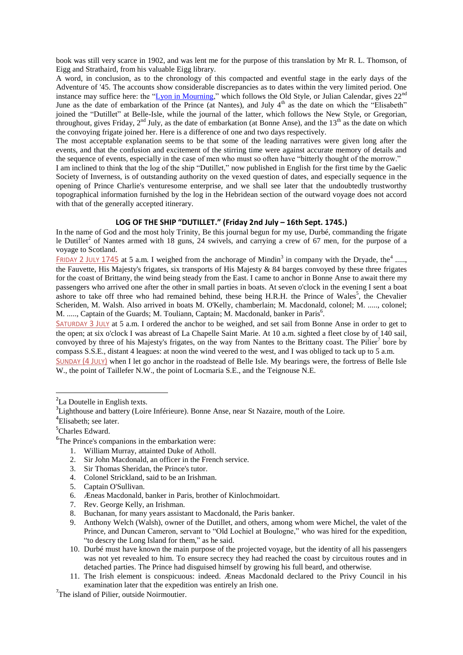book was still very scarce in 1902, and was lent me for the purpose of this translation by Mr R. L. Thomson, of Eigg and Strathaird, from his valuable Eigg library.

A word, in conclusion, as to the chronology of this compacted and eventful stage in the early days of the Adventure of '45. The accounts show considerable discrepancies as to dates within the very limited period. One instance may suffice here: the ["Lyon in Mourning,](http://books.google.com/books?id=pFENAAAAIAAJ&printsec=titlepage&source=gbs_summary_r&cad=0)" which follows the Old Style, or Julian Calendar, gives 22<sup>nd</sup> June as the date of embarkation of the Prince (at Nantes), and July 4<sup>th</sup> as the date on which the "Elisabeth" joined the "Dutillet" at Belle-Isle, while the journal of the latter, which follows the New Style, or Gregorian, throughout, gives Friday,  $2<sup>nd</sup>$  July, as the date of embarkation (at Bonne Anse), and the  $13<sup>th</sup>$  as the date on which the convoying frigate joined her. Here is a difference of one and two days respectively.

The most acceptable explanation seems to be that some of the leading narratives were given long after the events, and that the confusion and excitement of the stirring time were against accurate memory of details and the sequence of events, especially in the case of men who must so often have "bitterly thought of the morrow."

I am inclined to think that the log of the ship "Dutillet," now published in English for the first time by the Gaelic Society of Inverness, is of outstanding authority on the vexed question of dates, and especially sequence in the opening of Prince Charlie's venturesome enterprise, and we shall see later that the undoubtedly trustworthy topographical information furnished by the log in the Hebridean section of the outward voyage does not accord with that of the generally accepted itinerary.

### **LOG OF THE SHIP "DUTILLET." (Friday 2nd July – 16th Sept. 1745.)**

In the name of God and the most holy Trinity, Be this journal begun for my use, Durbé, commanding the frigate le Dutillet<sup>2</sup> of Nantes armed with 18 guns, 24 swivels, and carrying a crew of 67 men, for the purpose of a voyage to Scotland.

**FRIDAY 2 JULY 1745** at 5 a.m. I weighed from the anchorage of Mindin<sup>3</sup> in company with the Dryade, the<sup>4</sup> ....., the Fauvette, His Majesty's frigates, six transports of His Majesty & 84 barges convoyed by these three frigates for the coast of Brittany, the wind being steady from the East. I came to anchor in Bonne Anse to await there my passengers who arrived one after the other in small parties in boats. At seven o'clock in the evening I sent a boat ashore to take off three who had remained behind, these being H.R.H. the Prince of Wales<sup>5</sup>, the Chevalier Scheriden, M. Walsh. Also arrived in boats M. O'Kelly, chamberlain; M. Macdonald, colonel; M. ....., colonel; M. ....., Captain of the Guards; M. Touliann, Captain; M. Macdonald, banker in Paris<sup>6</sup>.

SATURDAY 3 JULY at 5 a.m. I ordered the anchor to be weighed, and set sail from Bonne Anse in order to get to the open; at six o'clock I was abreast of La Chapelle Saint Marie. At 10 a.m. sighted a fleet close by of 140 sail, convoyed by three of his Majesty's frigates, on the way from Nantes to the Brittany coast. The Pilier<sup>7</sup> bore by compass S.S.E., distant 4 leagues: at noon the wind veered to the west, and I was obliged to tack up to 5 a.m.

SUNDAY (4 JULY) when I let go anchor in the roadstead of Belle Isle. My bearings were, the fortress of Belle Isle W., the point of Taillefer N.W., the point of Locmaria S.E., and the Teignouse N.E.

**.** 

- 1. William Murray, attainted Duke of Atholl.
- 2. Sir John Macdonald, an officer in the French service.
- 3. Sir Thomas Sheridan, the Prince's tutor.
- 4. Colonel Strickland, said to be an Irishman.
- 5. Captain O'Sullivan.
- 6. Æneas Macdonald, banker in Paris, brother of Kinlochmoidart.
- 7. Rev. George Kelly, an Irishman.
- 8. Buchanan, for many years assistant to Macdonald, the Paris banker.
- 9. Anthony Welch (Walsh), owner of the Dutillet, and others, among whom were Michel, the valet of the Prince, and Duncan Cameron, servant to "Old Lochiel at Boulogne," who was hired for the expedition, "to descry the Long Island for them," as he said.
- 10. Durbé must have known the main purpose of the projected voyage, but the identity of all his passengers was not yet revealed to him. To ensure secrecy they had reached the coast by circuitous routes and in detached parties. The Prince had disguised himself by growing his full beard, and otherwise.
- 11. The Irish element is conspicuous: indeed. Æneas Macdonald declared to the Privy Council in his examination later that the expedition was entirely an Irish one.

<sup>&</sup>lt;sup>2</sup>La Doutelle in English texts.

<sup>&</sup>lt;sup>3</sup>Lighthouse and battery (Loire Inférieure). Bonne Anse, near St Nazaire, mouth of the Loire.

<sup>&</sup>lt;sup>4</sup>Elisabeth; see later.

<sup>&</sup>lt;sup>5</sup>Charles Edward.

<sup>&</sup>lt;sup>6</sup>The Prince's companions in the embarkation were:

<sup>&</sup>lt;sup>7</sup>The island of Pilier, outside Noirmoutier.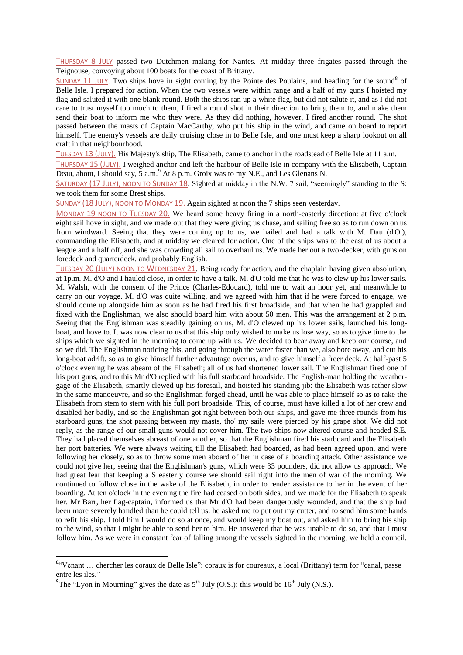THURSDAY 8 JULY passed two Dutchmen making for Nantes. At midday three frigates passed through the Teignouse, convoying about 100 boats for the coast of Brittany.

SUNDAY 11 JULY. Two ships hove in sight coming by the Pointe des Poulains, and heading for the sound<sup>8</sup> of Belle Isle. I prepared for action. When the two vessels were within range and a half of my guns I hoisted my flag and saluted it with one blank round. Both the ships ran up a white flag, but did not salute it, and as I did not care to trust myself too much to them, I fired a round shot in their direction to bring them to, and make them send their boat to inform me who they were. As they did nothing, however, I fired another round. The shot passed between the masts of Captain MacCarthy, who put his ship in the wind, and came on board to report himself. The enemy's vessels are daily cruising close in to Belle Isle, and one must keep a sharp lookout on all craft in that neighbourhood.

TUESDAY 13 (JULY). His Majesty's ship, The Elisabeth, came to anchor in the roadstead of Belle Isle at 11 a.m.

THURSDAY 15 (JULY). I weighed anchor and left the harbour of Belle Isle in company with the Elisabeth, Captain Deau, about, I should say, 5 a.m. At 8 p.m. Groix was to my N.E., and Les Glenans N.

SATURDAY (17 JULY), NOON TO SUNDAY 18. Sighted at midday in the N.W. 7 sail, "seemingly" standing to the S: we took them for some Brest ships.

SUNDAY (18 JULY), NOON TO MONDAY 19. Again sighted at noon the 7 ships seen yesterday.

MONDAY 19 NOON TO TUESDAY 20. We heard some heavy firing in a north-easterly direction: at five o'clock eight sail hove in sight, and we made out that they were giving us chase, and sailing free so as to run down on us from windward. Seeing that they were coming up to us, we hailed and had a talk with M. Dau (d'O.), commanding the Elisabeth, and at midday we cleared for action. One of the ships was to the east of us about a league and a half off, and she was crowding all sail to overhaul us. We made her out a two-decker, with guns on foredeck and quarterdeck, and probably English.

TUESDAY 20 (JULY) NOON TO WEDNESDAY 21. Being ready for action, and the chaplain having given absolution, at 1p.m. M. d'O and I hauled close, in order to have a talk. M. d'O told me that he was to clew up his lower sails. M. Walsh, with the consent of the Prince (Charles-Edouard), told me to wait an hour yet, and meanwhile to carry on our voyage. M. d'O was quite willing, and we agreed with him that if he were forced to engage, we should come up alongside him as soon as he had fired his first broadside, and that when he had grappled and fixed with the Englishman, we also should board him with about 50 men. This was the arrangement at 2 p.m. Seeing that the Englishman was steadily gaining on us, M. d'O clewed up his lower sails, launched his longboat, and hove to. It was now clear to us that this ship only wished to make us lose way, so as to give time to the ships which we sighted in the morning to come up with us. We decided to bear away and keep our course, and so we did. The Englishman noticing this, and going through the water faster than we, also bore away, and cut his long-boat adrift, so as to give himself further advantage over us, and to give himself a freer deck. At half-past 5 o'clock evening he was abeam of the Elisabeth; all of us had shortened lower sail. The Englishman fired one of his port guns, and to this Mr d'O replied with his full starboard broadside. The English-man holding the weathergage of the Elisabeth, smartly clewed up his foresail, and hoisted his standing jib: the Elisabeth was rather slow in the same manoeuvre, and so the Englishman forged ahead, until he was able to place himself so as to rake the Elisabeth from stem to stern with his full port broadside. This, of course, must have killed a lot of her crew and disabled her badly, and so the Englishman got right between both our ships, and gave me three rounds from his starboard guns, the shot passing between my masts, tho' my sails were pierced by his grape shot. We did not reply, as the range of our small guns would not cover him. The two ships now altered course and headed S.E. They had placed themselves abreast of one another, so that the Englishman fired his starboard and the Elisabeth her port batteries. We were always waiting till the Elisabeth had boarded, as had been agreed upon, and were following her closely, so as to throw some men aboard of her in case of a boarding attack. Other assistance we could not give her, seeing that the Englishman's guns, which were 33 pounders, did not allow us approach. We had great fear that keeping a S easterly course we should sail right into the men of war of the morning. We continued to follow close in the wake of the Elisabeth, in order to render assistance to her in the event of her boarding. At ten o'clock in the evening the fire had ceased on both sides, and we made for the Elisabeth to speak her. Mr Barr, her flag-captain, informed us that Mr d'O had been dangerously wounded, and that the ship had been more severely handled than he could tell us: he asked me to put out my cutter, and to send him some hands to refit his ship. I told him I would do so at once, and would keep my boat out, and asked him to bring his ship to the wind, so that I might be able to send her to him. He answered that he was unable to do so, and that I must follow him. As we were in constant fear of falling among the vessels sighted in the morning, we held a council,

 8 "Venant … chercher les coraux de Belle Isle": coraux is for coureaux, a local (Brittany) term for "canal, passe entre les iles."

<sup>&</sup>lt;sup>9</sup>The "Lyon in Mourning" gives the date as  $5<sup>th</sup>$  July (O.S.): this would be  $16<sup>th</sup>$  July (N.S.).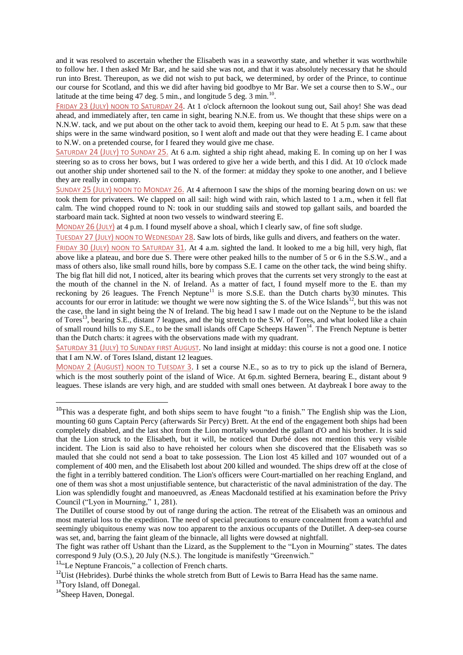and it was resolved to ascertain whether the Elisabeth was in a seaworthy state, and whether it was worthwhile to follow her. I then asked Mr Bar, and he said she was not, and that it was absolutely necessary that he should run into Brest. Thereupon, as we did not wish to put back, we determined, by order of the Prince, to continue our course for Scotland, and this we did after having bid goodbye to Mr Bar. We set a course then to S.W., our latitude at the time being 47 deg. 5 min., and longitude 5 deg. 3 min.<sup>10</sup>.

FRIDAY 23 (JULY) NOON TO SATURDAY 24. At 1 o'clock afternoon the lookout sung out, Sail ahoy! She was dead ahead, and immediately after, ten came in sight, bearing N.N.E. from us. We thought that these ships were on a N.N.W. tack, and we put about on the other tack to avoid them, keeping our head to E. At 5 p.m. saw that these ships were in the same windward position, so I went aloft and made out that they were heading E. I came about to N.W. on a pretended course, for I feared they would give me chase.

SATURDAY 24 (JULY) TO SUNDAY 25. At 6 a.m. sighted a ship right ahead, making E. In coming up on her I was steering so as to cross her bows, but I was ordered to give her a wide berth, and this I did. At 10 o'clock made out another ship under shortened sail to the N. of the former: at midday they spoke to one another, and I believe they are really in company.

SUNDAY 25 (JULY) NOON TO MONDAY 26. At 4 afternoon I saw the ships of the morning bearing down on us: we took them for privateers. We clapped on all sail: high wind with rain, which lasted to 1 a.m., when it fell flat calm. The wind chopped round to N: took in our studding sails and stowed top gallant sails, and boarded the starboard main tack. Sighted at noon two vessels to windward steering E.

MONDAY 26 (JULY) at 4 p.m. I found myself above a shoal, which I clearly saw, of fine soft sludge.

TUESDAY 27 (JULY) NOON TO WEDNESDAY 28. Saw lots of birds, like gulls and divers, and feathers on the water.

FRIDAY 30 (JULY) NOON TO SATURDAY 31. At 4 a.m. sighted the land. It looked to me a big hill, very high, flat above like a plateau, and bore due S. There were other peaked hills to the number of 5 or 6 in the S.S.W., and a mass of others also, like small round hills, bore by compass S.E. I came on the other tack, the wind being shifty. The big flat hill did not, I noticed, alter its bearing which proves that the currents set very strongly to the east at the mouth of the channel in the N. of Ireland. As a matter of fact, I found myself more to the E. than my reckoning by 26 leagues. The French Neptune<sup>11</sup> is more S.S.E. than the Dutch charts by 30 minutes. This accounts for our error in latitude: we thought we were now sighting the S. of the Wice Islands<sup>12</sup>, but this was not the case, the land in sight being the N of Ireland. The big head I saw I made out on the Neptune to be the island of Tores<sup>13</sup>, bearing S.E., distant 7 leagues, and the big stretch to the S.W. of Tores, and what looked like a chain of small round hills to my S.E., to be the small islands off Cape Scheeps Hawen<sup>14</sup>. The French Neptune is better than the Dutch charts: it agrees with the observations made with my quadrant.

SATURDAY 31 (JULY) TO SUNDAY FIRST AUGUST. No land insight at midday: this course is not a good one. I notice that I am N.W. of Tores Island, distant 12 leagues.

MONDAY 2 (AUGUST) NOON TO TUESDAY 3. I set a course N.E., so as to try to pick up the island of Bernera, which is the most southerly point of the island of Wice. At 6p.m. sighted Bernera, bearing E., distant about 9 leagues. These islands are very high, and are studded with small ones between. At daybreak I bore away to the

1

<sup>&</sup>lt;sup>10</sup>This was a desperate fight, and both ships seem to have fought "to a finish." The English ship was the Lion, mounting 60 guns Captain Percy (afterwards Sir Percy) Brett. At the end of the engagement both ships had been completely disabled, and the last shot from the Lion mortally wounded the gallant d'O and his brother. It is said that the Lion struck to the Elisabeth, but it will, be noticed that Durbé does not mention this very visible incident. The Lion is said also to have rehoisted her colours when she discovered that the Elisabeth was so mauled that she could not send a boat to take possession. The Lion lost 45 killed and 107 wounded out of a complement of 400 men, and the Elisabeth lost about 200 killed and wounded. The ships drew off at the close of the fight in a terribly battered condition. The Lion's officers were Court-martialled on her reaching England, and one of them was shot a most unjustifiable sentence, but characteristic of the naval administration of the day. The Lion was splendidly fought and manoeuvred, as Æneas Macdonald testified at his examination before the Privy Council ("Lyon in Mourning," 1, 281).

The Dutillet of course stood by out of range during the action. The retreat of the Elisabeth was an ominous and most material loss to the expedition. The need of special precautions to ensure concealment from a watchful and seemingly ubiquitous enemy was now too apparent to the anxious occupants of the Dutillet. A deep-sea course was set, and, barring the faint gleam of the binnacle, all lights were dowsed at nightfall.

The fight was rather off Ushant than the Lizard, as the Supplement to the "Lyon in Mourning" states. The dates correspond 9 July (O.S.), 20 July (N.S.). The longitude is manifestly "Greenwich."

<sup>&</sup>lt;sup>11</sup>"Le Neptune Francois," a collection of French charts.

<sup>&</sup>lt;sup>12</sup>Uist (Hebrides). Durbé thinks the whole stretch from Butt of Lewis to Barra Head has the same name.

<sup>&</sup>lt;sup>13</sup>Tory Island, off Donegal.

<sup>&</sup>lt;sup>14</sup>Sheep Haven, Donegal.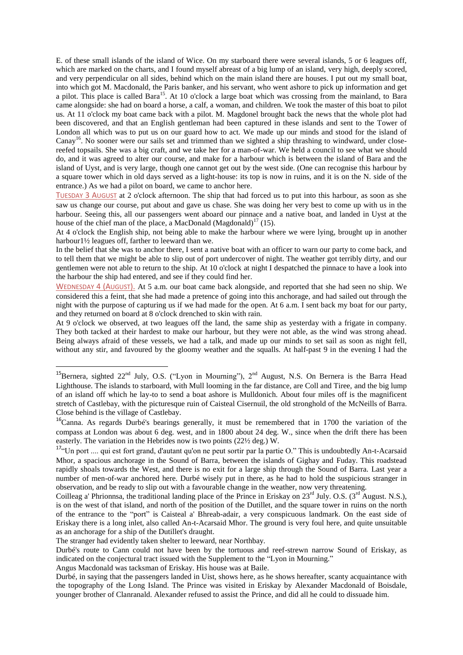E. of these small islands of the island of Wice. On my starboard there were several islands, 5 or 6 leagues off, which are marked on the charts, and I found myself abreast of a big lump of an island, very high, deeply scored, and very perpendicular on all sides, behind which on the main island there are houses. I put out my small boat, into which got M. Macdonald, the Paris banker, and his servant, who went ashore to pick up information and get a pilot. This place is called Bara<sup>15</sup>. At 10 o'clock a large boat which was crossing from the mainland, to Bara came alongside: she had on board a horse, a calf, a woman, and children. We took the master of this boat to pilot us. At 11 o'clock my boat came back with a pilot. M. Magdonel brought back the news that the whole plot had been discovered, and that an English gentleman had been captured in these islands and sent to the Tower of London all which was to put us on our guard how to act. We made up our minds and stood for the island of  $Canay<sup>16</sup>$ . No sooner were our sails set and trimmed than we sighted a ship thrashing to windward, under closereefed topsails. She was a big craft, and we take her for a man-of-war. We held a council to see what we should do, and it was agreed to alter our course, and make for a harbour which is between the island of Bara and the island of Uyst, and is very large, though one cannot get out by the west side. (One can recognise this harbour by a square tower which in old days served as a light-house: its top is now in ruins, and it is on the N. side of the entrance.) As we had a pilot on board, we came to anchor here.

TUESDAY 3 AUGUST at 2 o'clock afternoon. The ship that had forced us to put into this harbour, as soon as she saw us change our course, put about and gave us chase. She was doing her very best to come up with us in the harbour. Seeing this, all our passengers went aboard our pinnace and a native boat, and landed in Uyst at the house of the chief man of the place, a MacDonald (Magdonald)<sup>17</sup> (15).

At 4 o'clock the English ship, not being able to make the harbour where we were lying, brought up in another harbour1½ leagues off, farther to leeward than we.

In the belief that she was to anchor there, I sent a native boat with an officer to warn our party to come back, and to tell them that we might be able to slip out of port undercover of night. The weather got terribly dirty, and our gentlemen were not able to return to the ship. At 10 o'clock at night I despatched the pinnace to have a look into the harbour the ship had entered, and see if they could find her.

WEDNESDAY 4 (AUGUST). At 5 a.m. our boat came back alongside, and reported that she had seen no ship. We considered this a feint, that she had made a pretence of going into this anchorage, and had sailed out through the night with the purpose of capturing us if we had made for the open. At 6 a.m. I sent back my boat for our party, and they returned on board at 8 o'clock drenched to skin with rain.

At 9 o'clock we observed, at two leagues off the land, the same ship as yesterday with a frigate in company. They both tacked at their hardest to make our harbour, but they were not able, as the wind was strong ahead. Being always afraid of these vessels, we had a talk, and made up our minds to set sail as soon as night fell, without any stir, and favoured by the gloomy weather and the squalls. At half-past 9 in the evening I had the

**.** 

Angus Macdonald was tacksman of Eriskay. His house was at Baile.

Durbé, in saying that the passengers landed in Uist, shows here, as he shows hereafter, scanty acquaintance with the topography of the Long Island. The Prince was visited in Eriskay by Alexander Macdonald of Boisdale, younger brother of Clanranald. Alexander refused to assist the Prince, and did all he could to dissuade him.

<sup>&</sup>lt;sup>15</sup>Bernera, sighted 22<sup>nd</sup> July, O.S. ("Lyon in Mourning"), 2<sup>nd</sup> August, N.S. On Bernera is the Barra Head Lighthouse. The islands to starboard, with Mull looming in the far distance, are Coll and Tiree, and the big lump of an island off which he lay-to to send a boat ashore is Mulldonich. About four miles off is the magnificent stretch of Castlebay, with the picturesque ruin of Caisteal Cisernuil, the old stronghold of the McNeills of Barra. Close behind is the village of Castlebay.

<sup>16</sup>Canna. As regards Durbé's bearings generally, it must be remembered that in 1700 the variation of the compass at London was about 6 deg. west, and in 1800 about 24 deg. W., since when the drift there has been easterly. The variation in the Hebrides now is two points (22½ deg.) W.

<sup>&</sup>lt;sup>17"</sup>Un port .... qui est fort grand, d'autant qu'on ne peut sortir par la partie O." This is undoubtedly An-t-Acarsaid Mhor, a spacious anchorage in the Sound of Barra, between the islands of Gighay and Fuday. This roadstead rapidly shoals towards the West, and there is no exit for a large ship through the Sound of Barra. Last year a number of men-of-war anchored here. Durbé wisely put in there, as he had to hold the suspicious stranger in observation, and be ready to slip out with a favourable change in the weather, now very threatening.

Coilleag a' Phrionnsa, the traditional landing place of the Prince in Eriskay on  $23^{\text{rd}}$  July. O.S. ( $3^{\text{rd}}$  August. N.S.), is on the west of that island, and north of the position of the Dutillet, and the square tower in ruins on the north of the entrance to the "port" is Caisteal a' Bhreab-adair, a very conspicuous landmark. On the east side of Eriskay there is a long inlet, also called An-t-Acarsaid Mhor. The ground is very foul here, and quite unsuitable as an anchorage for a ship of the Dutillet's draught.

The stranger had evidently taken shelter to leeward, near Northbay.

Durbé's route to Cann could not have been by the tortuous and reef-strewn narrow Sound of Eriskay, as indicated on the conjectural tract issued with the Supplement to the "Lyon in Mourning."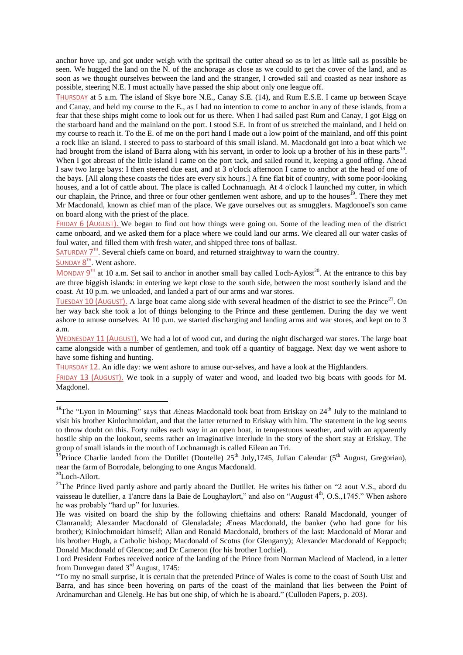anchor hove up, and got under weigh with the spritsail the cutter ahead so as to let as little sail as possible be seen. We hugged the land on the N. of the anchorage as close as we could to get the cover of the land, and as soon as we thought ourselves between the land and the stranger, I crowded sail and coasted as near inshore as possible, steering N.E. I must actually have passed the ship about only one league off.

THURSDAY at 5 a.m. The island of Skye bore N.E., Canay S.E. (14), and Rum E.S.E. I came up between Scaye and Canay, and held my course to the E., as I had no intention to come to anchor in any of these islands, from a fear that these ships might come to look out for us there. When I had sailed past Rum and Canay, I got Eigg on the starboard hand and the mainland on the port. I stood S.E. In front of us stretched the mainland, and I held on my course to reach it. To the E. of me on the port hand I made out a low point of the mainland, and off this point a rock like an island. I steered to pass to starboard of this small island. M. Macdonald got into a boat which we had brought from the island of Barra along with his servant, in order to look up a brother of his in these parts<sup>18</sup>. When I got abreast of the little island I came on the port tack, and sailed round it, keeping a good offing. Ahead I saw two large bays: I then steered due east, and at 3 o'clock afternoon I came to anchor at the head of one of the bays. [All along these coasts the tides are every six hours.] A fine flat bit of country, with some poor-looking houses, and a lot of cattle about. The place is called Lochnanuagh. At 4 o'clock I launched my cutter, in which our chaplain, the Prince, and three or four other gentlemen went ashore, and up to the houses<sup>19</sup>. There they met Mr Macdonald, known as chief man of the place. We gave ourselves out as smugglers. Magdonoel's son came on board along with the priest of the place.

FRIDAY 6 (AUGUST). We began to find out how things were going on. Some of the leading men of the district came onboard, and we asked them for a place where we could land our arms. We cleared all our water casks of foul water, and filled them with fresh water, and shipped three tons of ballast.

 $SATURDAY 7<sup>TH</sup>$ . Several chiefs came on board, and returned straightway to warn the country.

SUNDAY 8<sup>TH</sup>. Went ashore.

MONDAY  $9^{\text{th}}$  at 10 a.m. Set sail to anchor in another small bay called Loch-Aylost<sup>20</sup>. At the entrance to this bay are three biggish islands: in entering we kept close to the south side, between the most southerly island and the coast. At 10 p.m. we unloaded, and landed a part of our arms and war stores.

TUESDAY 10 (AUGUST). A large boat came along side with several headmen of the district to see the Prince<sup>21</sup>. On her way back she took a lot of things belonging to the Prince and these gentlemen. During the day we went ashore to amuse ourselves. At 10 p.m. we started discharging and landing arms and war stores, and kept on to 3 a.m.

WEDNESDAY 11 (AUGUST). We had a lot of wood cut, and during the night discharged war stores. The large boat came alongside with a number of gentlemen, and took off a quantity of baggage. Next day we went ashore to have some fishing and hunting.

THURSDAY 12. An idle day: we went ashore to amuse our-selves, and have a look at the Highlanders.

FRIDAY 13 (AUGUST). We took in a supply of water and wood, and loaded two big boats with goods for M. Magdonel.

**.** 

<sup>&</sup>lt;sup>18</sup>The "Lyon in Mourning" says that Æneas Macdonald took boat from Eriskay on  $24<sup>th</sup>$  July to the mainland to visit his brother Kinlochmoidart, and that the latter returned to Eriskay with him. The statement in the log seems to throw doubt on this. Forty miles each way in an open boat, in tempestuous weather, and with an apparently hostile ship on the lookout, seems rather an imaginative interlude in the story of the short stay at Eriskay. The group of small islands in the mouth of Lochnanuagh is called Eilean an Tri.

<sup>&</sup>lt;sup>19</sup>Prince Charlie landed from the Dutillet (Doutelle)  $25^{th}$  July,1745, Julian Calendar (5<sup>th</sup> August, Gregorian), near the farm of Borrodale, belonging to one Angus Macdonald.

<sup>&</sup>lt;sup>20</sup>Loch-Ailort.

<sup>&</sup>lt;sup>21</sup>The Prince lived partly ashore and partly aboard the Dutillet. He writes his father on "2 aout V.S., abord du vaisseau le dutellier, a 1'ancre dans la Baie de Loughaylort," and also on "August 4<sup>th</sup>, O.S.,1745." When ashore he was probably "hard up" for luxuries.

He was visited on board the ship by the following chieftains and others: Ranald Macdonald, younger of Clanranald; Alexander Macdonald of Glenaladale; Æneas Macdonald, the banker (who had gone for his brother); Kinlochmoidart himself; Allan and Ronald Macdonald, brothers of the last: Macdonald of Morar and his brother Hugh, a Catholic bishop; Macdonald of Scotus (for Glengarry); Alexander Macdonald of Keppoch; Donald Macdonald of Glencoe; and Dr Cameron (for his brother Lochiel).

Lord President Forbes received notice of the landing of the Prince from Norman Macleod of Macleod, in a letter from Dunvegan dated  $3<sup>rd</sup>$  August, 1745:

<sup>&</sup>quot;To my no small surprise, it is certain that the pretended Prince of Wales is come to the coast of South Uist and Barra, and has since been hovering on parts of the coast of the mainland that lies between the Point of Ardnamurchan and Glenelg. He has but one ship, of which he is aboard." (Culloden Papers, p. 203).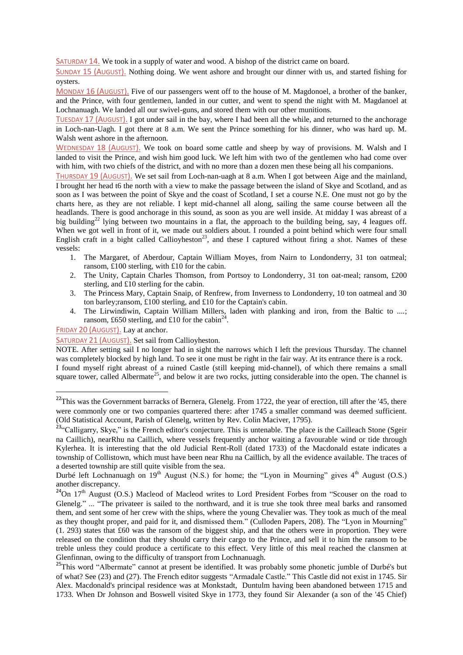SATURDAY 14. We took in a supply of water and wood. A bishop of the district came on board.

SUNDAY 15 (AUGUST). Nothing doing. We went ashore and brought our dinner with us, and started fishing for oysters.

MONDAY 16 (AUGUST). Five of our passengers went off to the house of M. Magdonoel, a brother of the banker, and the Prince, with four gentlemen, landed in our cutter, and went to spend the night with M. Magdanoel at Lochnanuagh. We landed all our swivel-guns, and stored them with our other munitions.

TUESDAY 17 (AUGUST). I got under sail in the bay, where I had been all the while, and returned to the anchorage in Loch-nan-Uagh. I got there at 8 a.m. We sent the Prince something for his dinner, who was hard up. M. Walsh went ashore in the afternoon.

WEDNESDAY 18 (AUGUST). We took on board some cattle and sheep by way of provisions. M. Walsh and I landed to visit the Prince, and wish him good luck. We left him with two of the gentlemen who had come over with him, with two chiefs of the district, and with no more than a dozen men these being all his companions.

THURSDAY 19 (AUGUST). We set sail from Loch-nan-uagh at 8 a.m. When I got between Aige and the mainland, I brought her head t6 the north with a view to make the passage between the island of Skye and Scotland, and as soon as I was between the point of Skye and the coast of Scotland, I set a course N.E. One must not go by the charts here, as they are not reliable. I kept mid-channel all along, sailing the same course between all the headlands. There is good anchorage in this sound, as soon as you are well inside. At midday I was abreast of a big building<sup>22</sup> lying between two mountains in a flat, the approach to the building being, say, 4 leagues off. When we got well in front of it, we made out soldiers about. I rounded a point behind which were four small English craft in a bight called Callioyheston<sup>23</sup>, and these I captured without firing a shot. Names of these vessels:

- 1. The Margaret, of Aberdour, Captain William Moyes, from Nairn to Londonderry, 31 ton oatmeal; ransom, £100 sterling, with £10 for the cabin.
- 2. The Unity, Captain Charles Thomson, from Portsoy to Londonderry, 31 ton oat-meal; ransom, £200 sterling, and £10 sterling for the cabin.
- 3. The Princess Mary, Captain Snaip, of Renfrew, from Inverness to Londonderry, 10 ton oatmeal and 30 ton barley;ransom, £100 sterling, and £10 for the Captain's cabin.
- 4. The Lirwindiwin, Captain William Millers, laden with planking and iron, from the Baltic to ....; ransom, £650 sterling, and £10 for the cabin<sup>24</sup>.

FRIDAY 20 (AUGUST). Lay at anchor.

### SATURDAY 21 (AUGUST). Set sail from Callioyheston.

NOTE. After setting sail I no longer had in sight the narrows which I left the previous Thursday. The channel was completely blocked by high land. To see it one must be right in the fair way. At its entrance there is a rock. I found myself right abreast of a ruined Castle (still keeping mid-channel), of which there remains a small

square tower, called Albermate<sup>25</sup>, and below it are two rocks, jutting considerable into the open. The channel is **.** 

<sup>&</sup>lt;sup>22</sup>This was the Government barracks of Bernera, Glenelg. From 1722, the year of erection, till after the '45, there were commonly one or two companies quartered there: after 1745 a smaller command was deemed sufficient. (Old Statistical Account, Parish of Glenelg, written by Rev. Colin Maciver, 1795).

<sup>&</sup>lt;sup>23.</sup>"Calligarry, Skye," is the French editor's conjecture. This is untenable. The place is the Cailleach Stone (Sgeir na Caillich), nearRhu na Caillich, where vessels frequently anchor waiting a favourable wind or tide through Kylerhea. It is interesting that the old Judicial Rent-Roll (dated 1733) of the Macdonald estate indicates a township of Collistown, which must have been near Rhu na Caillich, by all the evidence available. The traces of a deserted township are still quite visible from the sea.

Durbé left Lochnanuagh on  $19<sup>th</sup>$  August (N.S.) for home; the "Lyon in Mourning" gives  $4<sup>th</sup>$  August (O.S.) another discrepancy.

<sup>&</sup>lt;sup>24</sup>On 17<sup>th</sup> August (O.S.) Macleod of Macleod writes to Lord President Forbes from "Scouser on the road to Glenelg." ... "The privateer is sailed to the northward, and it is true she took three meal barks and ransomed them, and sent some of her crew with the ships, where the young Chevalier was. They took as much of the meal as they thought proper, and paid for it, and dismissed them." (Culloden Papers, 208). The "Lyon in Mourning" (1. 293) states that £60 was the ransom of the biggest ship, and that the others were in proportion. They were released on the condition that they should carry their cargo to the Prince, and sell it to him the ransom to be treble unless they could produce a certificate to this effect. Very little of this meal reached the clansmen at Glenfinnan, owing to the difficulty of transport from Lochnanuagh.

<sup>&</sup>lt;sup>25</sup>This word "Albermate" cannot at present be identified. It was probably some phonetic jumble of Durbé's but of what? See (23) and (27). The French editor suggests "Armadale Castle." This Castle did not exist in 1745. Sir Alex. Macdonald's principal residence was at Monkstadt, Duntulm having been abandoned between 1715 and 1733. When Dr Johnson and Boswell visited Skye in 1773, they found Sir Alexander (a son of the '45 Chief)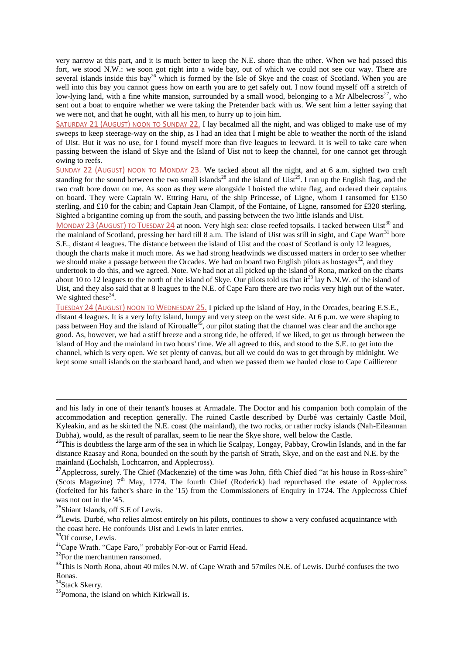very narrow at this part, and it is much better to keep the N.E. shore than the other. When we had passed this fort, we stood N.W.: we soon got right into a wide bay, out of which we could not see our way. There are several islands inside this bay<sup>26</sup> which is formed by the Isle of Skye and the coast of Scotland. When you are well into this bay you cannot guess how on earth you are to get safely out. I now found myself off a stretch of low-lying land, with a fine white mansion, surrounded by a small wood, belonging to a Mr Albelecross<sup>27</sup>, who sent out a boat to enquire whether we were taking the Pretender back with us. We sent him a letter saying that we were not, and that he ought, with all his men, to hurry up to join him.

SATURDAY 21 (AUGUST) NOON TO SUNDAY 22. I lay becalmed all the night, and was obliged to make use of my sweeps to keep steerage-way on the ship, as I had an idea that I might be able to weather the north of the island of Uist. But it was no use, for I found myself more than five leagues to leeward. It is well to take care when passing between the island of Skye and the Island of Uist not to keep the channel, for one cannot get through owing to reefs.

SUNDAY 22 (AUGUST) NOON TO MONDAY 23. We tacked about all the night, and at 6 a.m. sighted two craft standing for the sound between the two small islands<sup>28</sup> and the island of Uist<sup>29</sup>. I ran up the English flag, and the two craft bore down on me. As soon as they were alongside I hoisted the white flag, and ordered their captains on board. They were Captain W. Ettring Haru, of the ship Princesse, of Ligne, whom I ransomed for £150 sterling, and £10 for the cabin; and Captain Jean Clampit, of the Fontaine, of Ligne, ransomed for £320 sterling. Sighted a brigantine coming up from the south, and passing between the two little islands and Uist.

MONDAY 23 (AUGUST) TO TUESDAY 24 at noon. Very high sea: close reefed topsails. I tacked between Uist<sup>30</sup> and the mainland of Scotland, pressing her hard till 8 a.m. The island of Uist was still in sight, and Cape Wart<sup>31</sup> bore S.E., distant 4 leagues. The distance between the island of Uist and the coast of Scotland is only 12 leagues, though the charts make it much more. As we had strong headwinds we discussed matters in order to see whether we should make a passage between the Orcades. We had on board two English pilots as hostages<sup>32</sup>, and they undertook to do this, and we agreed. Note. We had not at all picked up the island of Rona, marked on the charts about 10 to 12 leagues to the north of the island of Skye. Our pilots told us that it<sup>33</sup> lay N.N.W. of the island of Uist, and they also said that at 8 leagues to the N.E. of Cape Faro there are two rocks very high out of the water. We sighted these $34$ .

TUESDAY 24 (AUGUST) NOON TO WEDNESDAY 25. I picked up the island of Hoy, in the Orcades, bearing E.S.E., distant 4 leagues. It is a very lofty island, lumpy and very steep on the west side. At 6 p.m. we were shaping to pass between Hoy and the island of Kiroualle<sup>35</sup>, our pilot stating that the channel was clear and the anchorage good. As, however, we had a stiff breeze and a strong tide, he offered, if we liked, to get us through between the island of Hoy and the mainland in two hours' time. We all agreed to this, and stood to the S.E. to get into the channel, which is very open. We set plenty of canvas, but all we could do was to get through by midnight. We kept some small islands on the starboard hand, and when we passed them we hauled close to Cape Cailliereor

**.** 

and his lady in one of their tenant's houses at Armadale. The Doctor and his companion both complain of the accommodation and reception generally. The ruined Castle described by Durbé was certainly Castle Moil, Kyleakin, and as he skirted the N.E. coast (the mainland), the two rocks, or rather rocky islands (Nah-Eileannan Dubha), would, as the result of parallax, seem to lie near the Skye shore, well below the Castle.

<sup>26</sup>This is doubtless the large arm of the sea in which lie Scalpay, Longay, Pabbay, Crowlin Islands, and in the far distance Raasay and Rona, bounded on the south by the parish of Strath, Skye, and on the east and N.E. by the mainland (Lochalsh, Lochcarron, and Applecross).

<sup>&</sup>lt;sup>27</sup>Applecross, surely. The Chief (Mackenzie) of the time was John, fifth Chief died "at his house in Ross-shire" (Scots Magazine)  $7<sup>th</sup>$  May, 1774. The fourth Chief (Roderick) had repurchased the estate of Applecross (forfeited for his father's share in the '15) from the Commissioners of Enquiry in 1724. The Applecross Chief was not out in the '45.

<sup>28</sup>Shiant Islands, off S.E of Lewis.

<sup>&</sup>lt;sup>29</sup>Lewis. Durbé, who relies almost entirely on his pilots, continues to show a very confused acquaintance with the coast here. He confounds Uist and Lewis in later entries.

<sup>&</sup>lt;sup>30</sup>Of course, Lewis.

<sup>&</sup>lt;sup>31</sup>Cape Wrath. "Cape Faro," probably For-out or Farrid Head.

<sup>&</sup>lt;sup>32</sup>For the merchantmen ransomed.

<sup>&</sup>lt;sup>33</sup>This is North Rona, about 40 miles N.W. of Cape Wrath and 57miles N.E. of Lewis. Durbé confuses the two Ronas.

<sup>&</sup>lt;sup>34</sup>Stack Skerry.

<sup>&</sup>lt;sup>35</sup>Pomona, the island on which Kirkwall is.